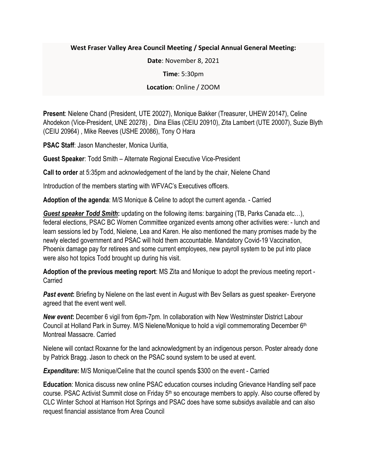## **West Fraser Valley Area Council Meeting / Special Annual General Meeting:**

**Date**: November 8, 2021

**Time**: 5:30pm

**Location**: Online / ZOOM

**Present**: Nielene Chand (President, UTE 20027), Monique Bakker (Treasurer, UHEW 20147), Celine Ahodekon (Vice-President, UNE 20278) , Dina Elias (CEIU 20910), Zita Lambert (UTE 20007), Suzie Blyth (CEIU 20964) , Mike Reeves (USHE 20086), Tony O Hara

**PSAC Staff**: Jason Manchester, Monica Uuritia,

**Guest Speaker**: Todd Smith – Alternate Regional Executive Vice-President

**Call to order** at 5:35pm and acknowledgement of the land by the chair, Nielene Chand

Introduction of the members starting with WFVAC's Executives officers.

**Adoption of the agenda**: M/S Monique & Celine to adopt the current agenda. - Carried

*Guest speaker Todd Smith***:** updating on the following items: bargaining (TB, Parks Canada etc…), federal elections, PSAC BC Women Committee organized events among other activities were: - lunch and learn sessions led by Todd, Nielene, Lea and Karen. He also mentioned the many promises made by the newly elected government and PSAC will hold them accountable. Mandatory Covid-19 Vaccination, Phoenix damage pay for retirees and some current employees, new payroll system to be put into place were also hot topics Todd brought up during his visit.

**Adoption of the previous meeting report**: MS Zita and Monique to adopt the previous meeting report - **Carried** 

**Past event:** Briefing by Nielene on the last event in August with Bev Sellars as quest speaker- Everyone agreed that the event went well.

*New event***:** December 6 vigil from 6pm-7pm. In collaboration with New Westminster District Labour Council at Holland Park in Surrey. M/S Nielene/Monique to hold a vigil commemorating December 6th Montreal Massacre. Carried

Nielene will contact Roxanne for the land acknowledgment by an indigenous person. Poster already done by Patrick Bragg. Jason to check on the PSAC sound system to be used at event.

*Expenditure***:** M/S Monique/Celine that the council spends \$300 on the event - Carried

**Education**: Monica discuss new online PSAC education courses including Grievance Handling self pace course. PSAC Activist Summit close on Friday 5<sup>th</sup> so encourage members to apply. Also course offered by CLC Winter School at Harrison Hot Springs and PSAC does have some subsidys available and can also request financial assistance from Area Council